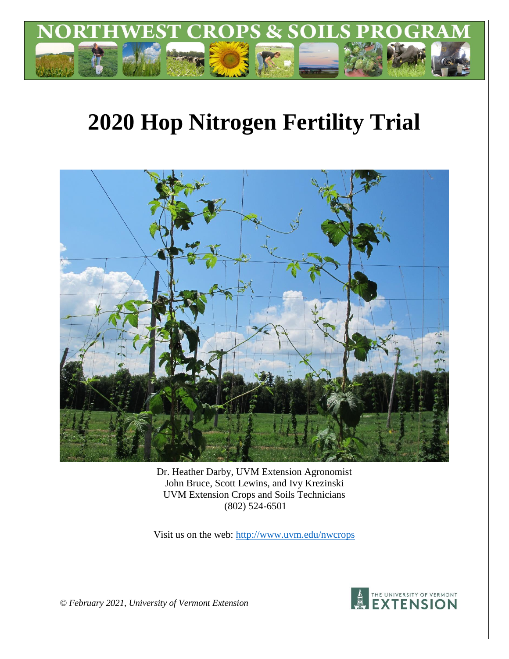

# **2020 Hop Nitrogen Fertility Trial**



Dr. Heather Darby, UVM Extension Agronomist John Bruce, Scott Lewins, and Ivy Krezinski UVM Extension Crops and Soils Technicians (802) 524-6501

Visit us on the web:<http://www.uvm.edu/nwcrops>



*© February 2021, University of Vermont Extension*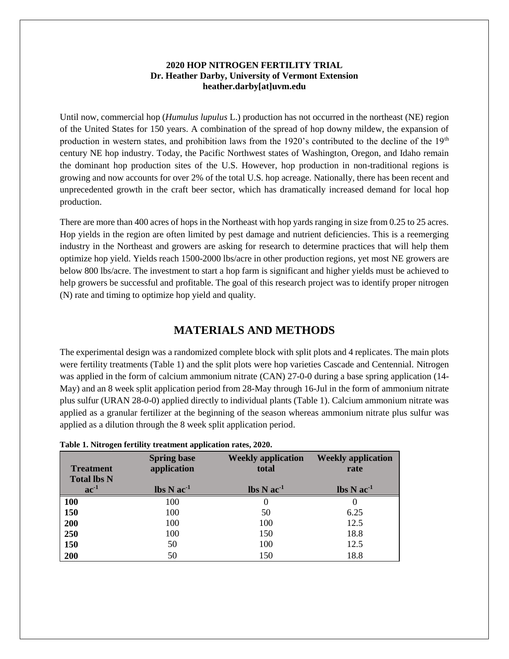## **2020 HOP NITROGEN FERTILITY TRIAL Dr. Heather Darby, University of Vermont Extension heather.darby[at]uvm.edu**

Until now, commercial hop (*Humulus lupulus* L.) production has not occurred in the northeast (NE) region of the United States for 150 years. A combination of the spread of hop downy mildew, the expansion of production in western states, and prohibition laws from the 1920's contributed to the decline of the 19<sup>th</sup> century NE hop industry. Today, the Pacific Northwest states of Washington, Oregon, and Idaho remain the dominant hop production sites of the U.S. However, hop production in non-traditional regions is growing and now accounts for over 2% of the total U.S. hop acreage. Nationally, there has been recent and unprecedented growth in the craft beer sector, which has dramatically increased demand for local hop production.

There are more than 400 acres of hops in the Northeast with hop yards ranging in size from 0.25 to 25 acres. Hop yields in the region are often limited by pest damage and nutrient deficiencies. This is a reemerging industry in the Northeast and growers are asking for research to determine practices that will help them optimize hop yield. Yields reach 1500-2000 lbs/acre in other production regions, yet most NE growers are below 800 lbs/acre. The investment to start a hop farm is significant and higher yields must be achieved to help growers be successful and profitable. The goal of this research project was to identify proper nitrogen (N) rate and timing to optimize hop yield and quality.

# **MATERIALS AND METHODS**

The experimental design was a randomized complete block with split plots and 4 replicates. The main plots were fertility treatments (Table 1) and the split plots were hop varieties Cascade and Centennial. Nitrogen was applied in the form of calcium ammonium nitrate (CAN) 27-0-0 during a base spring application (14- May) and an 8 week split application period from 28-May through 16-Jul in the form of ammonium nitrate plus sulfur (URAN 28-0-0) applied directly to individual plants (Table 1). Calcium ammonium nitrate was applied as a granular fertilizer at the beginning of the season whereas ammonium nitrate plus sulfur was applied as a dilution through the 8 week split application period.

| <b>Treatment</b><br><b>Total lbs N</b> | <b>Spring base</b><br>application          | <b>Weekly application</b><br>total         | <b>Weekly application</b><br>rate          |
|----------------------------------------|--------------------------------------------|--------------------------------------------|--------------------------------------------|
| $ac^{-1}$                              | $\text{lbs} \, \text{N} \, \text{ac}^{-1}$ | $\text{lbs} \, \text{N} \, \text{ac}^{-1}$ | $\mathbf{lbs} \mathbf{N} \mathbf{ac}^{-1}$ |
| <b>100</b>                             | 100                                        | $_{0}$                                     | 0                                          |
| 150                                    | 100                                        | 50                                         | 6.25                                       |
| 200                                    | 100                                        | 100                                        | 12.5                                       |
| 250                                    | 100                                        | 150                                        | 18.8                                       |
| 150                                    | 50                                         | 100                                        | 12.5                                       |
| 200                                    | 50                                         | 150                                        | 18.8                                       |

**Table 1. Nitrogen fertility treatment application rates, 2020.**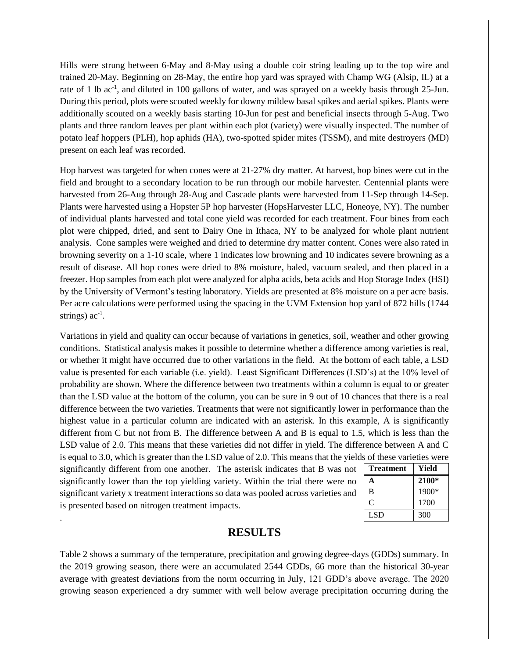Hills were strung between 6-May and 8-May using a double coir string leading up to the top wire and trained 20-May. Beginning on 28-May, the entire hop yard was sprayed with Champ WG (Alsip, IL) at a rate of 1 lb ac<sup>-1</sup>, and diluted in 100 gallons of water, and was sprayed on a weekly basis through 25-Jun. During this period, plots were scouted weekly for downy mildew basal spikes and aerial spikes. Plants were additionally scouted on a weekly basis starting 10-Jun for pest and beneficial insects through 5-Aug. Two plants and three random leaves per plant within each plot (variety) were visually inspected. The number of potato leaf hoppers (PLH), hop aphids (HA), two-spotted spider mites (TSSM), and mite destroyers (MD) present on each leaf was recorded.

Hop harvest was targeted for when cones were at 21-27% dry matter. At harvest, hop bines were cut in the field and brought to a secondary location to be run through our mobile harvester. Centennial plants were harvested from 26-Aug through 28-Aug and Cascade plants were harvested from 11-Sep through 14-Sep. Plants were harvested using a Hopster 5P hop harvester (HopsHarvester LLC, Honeoye, NY). The number of individual plants harvested and total cone yield was recorded for each treatment. Four bines from each plot were chipped, dried, and sent to Dairy One in Ithaca, NY to be analyzed for whole plant nutrient analysis. Cone samples were weighed and dried to determine dry matter content. Cones were also rated in browning severity on a 1-10 scale, where 1 indicates low browning and 10 indicates severe browning as a result of disease. All hop cones were dried to 8% moisture, baled, vacuum sealed, and then placed in a freezer. Hop samples from each plot were analyzed for alpha acids, beta acids and Hop Storage Index (HSI) by the University of Vermont's testing laboratory. Yields are presented at 8% moisture on a per acre basis. Per acre calculations were performed using the spacing in the UVM Extension hop yard of 872 hills (1744 strings)  $ac^{-1}$ .

Variations in yield and quality can occur because of variations in genetics, soil, weather and other growing conditions. Statistical analysis makes it possible to determine whether a difference among varieties is real, or whether it might have occurred due to other variations in the field. At the bottom of each table, a LSD value is presented for each variable (i.e. yield). Least Significant Differences (LSD's) at the 10% level of probability are shown. Where the difference between two treatments within a column is equal to or greater than the LSD value at the bottom of the column, you can be sure in 9 out of 10 chances that there is a real difference between the two varieties. Treatments that were not significantly lower in performance than the highest value in a particular column are indicated with an asterisk. In this example, A is significantly different from C but not from B. The difference between A and B is equal to 1.5, which is less than the LSD value of 2.0. This means that these varieties did not differ in yield. The difference between A and C is equal to 3.0, which is greater than the LSD value of 2.0. This means that the yields of these varieties were

significantly different from one another. The asterisk indicates that B was not significantly lower than the top yielding variety. Within the trial there were no significant variety x treatment interactions so data was pooled across varieties and is presented based on nitrogen treatment impacts.

.

| <b>Treatment</b> | Yield |
|------------------|-------|
|                  | 2100* |
| B                | 1900* |
| C                | 1700  |
| <b>LSD</b>       | 300   |

# **RESULTS**

Table 2 shows a summary of the temperature, precipitation and growing degree-days (GDDs) summary. In the 2019 growing season, there were an accumulated 2544 GDDs, 66 more than the historical 30-year average with greatest deviations from the norm occurring in July, 121 GDD's above average. The 2020 growing season experienced a dry summer with well below average precipitation occurring during the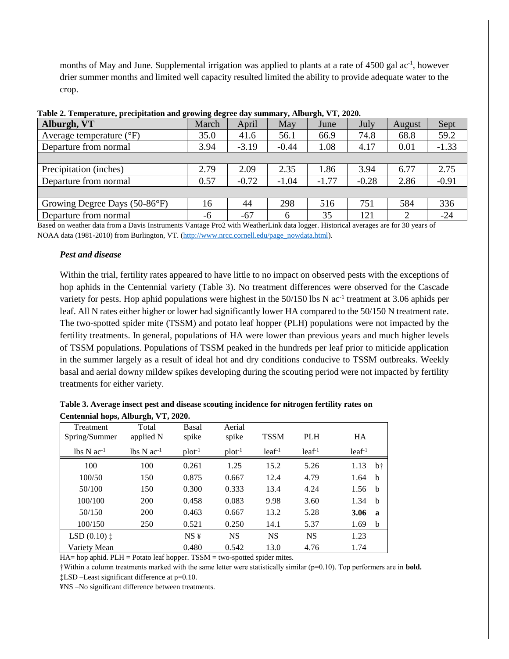months of May and June. Supplemental irrigation was applied to plants at a rate of 4500 gal ac<sup>-1</sup>, however drier summer months and limited well capacity resulted limited the ability to provide adequate water to the crop.

| Tubic 2. Temperature, precipitation and growing acgree any bummany, moargin, y 1, 2020.<br>Alburgh, VT | March | April   | May     | June    | July    | August         | Sept    |
|--------------------------------------------------------------------------------------------------------|-------|---------|---------|---------|---------|----------------|---------|
| Average temperature $({}^{\circ}F)$                                                                    | 35.0  | 41.6    | 56.1    | 66.9    | 74.8    | 68.8           | 59.2    |
| Departure from normal                                                                                  | 3.94  | $-3.19$ | $-0.44$ | 1.08    | 4.17    | 0.01           | $-1.33$ |
|                                                                                                        |       |         |         |         |         |                |         |
| Precipitation (inches)                                                                                 | 2.79  | 2.09    | 2.35    | 1.86    | 3.94    | 6.77           | 2.75    |
| Departure from normal                                                                                  | 0.57  | $-0.72$ | $-1.04$ | $-1.77$ | $-0.28$ | 2.86           | $-0.91$ |
|                                                                                                        |       |         |         |         |         |                |         |
| Growing Degree Days (50-86°F)                                                                          | 16    | 44      | 298     | 516     | 751     | 584            | 336     |
| Departure from normal                                                                                  | -6    | $-67$   | 6       | 35      | 121     | $\overline{2}$ | $-24$   |

Based on weather data from a Davis Instruments Vantage Pro2 with WeatherLink data logger. Historical averages are for 30 years of NOAA data (1981-2010) from Burlington, VT. [\(http://www.nrcc.cornell.edu/page\\_nowdata.html\)](http://www.nrcc.cornell.edu/page_nowdata.html).

### *Pest and disease*

Within the trial, fertility rates appeared to have little to no impact on observed pests with the exceptions of hop aphids in the Centennial variety (Table 3). No treatment differences were observed for the Cascade variety for pests. Hop aphid populations were highest in the 50/150 lbs N ac<sup>-1</sup> treatment at 3.06 aphids per leaf. All N rates either higher or lower had significantly lower HA compared to the 50/150 N treatment rate. The two-spotted spider mite (TSSM) and potato leaf hopper (PLH) populations were not impacted by the fertility treatments. In general, populations of HA were lower than previous years and much higher levels of TSSM populations. Populations of TSSM peaked in the hundreds per leaf prior to miticide application in the summer largely as a result of ideal hot and dry conditions conducive to TSSM outbreaks. Weekly basal and aerial downy mildew spikes developing during the scouting period were not impacted by fertility treatments for either variety.

|                                     | Table 3. Average insect pest and disease scouting incidence for nitrogen fertility rates on |
|-------------------------------------|---------------------------------------------------------------------------------------------|
| Centennial hops, Alburgh, VT, 2020. |                                                                                             |

| Treatment<br>Spring/Summer                 | Total<br>applied N | Basal<br>spike  | Aerial<br>spike | <b>TSSM</b> | <b>PLH</b> | <b>HA</b> |             |
|--------------------------------------------|--------------------|-----------------|-----------------|-------------|------------|-----------|-------------|
| $\text{lbs} \, \text{N} \, \text{ac}^{-1}$ | $lbs N ac-1$       | $plot^{-1}$     | $plot^{-1}$     | $leaf-1$    | $leaf-1$   | $leaf-1$  |             |
| 100                                        | 100                | 0.261           | 1.25            | 15.2        | 5.26       | 1.13      | b†          |
| 100/50                                     | 150                | 0.875           | 0.667           | 12.4        | 4.79       | 1.64      | b           |
| 50/100                                     | 150                | 0.300           | 0.333           | 13.4        | 4.24       | 1.56      | b           |
| 100/100                                    | 200                | 0.458           | 0.083           | 9.98        | 3.60       | 1.34      | $\mathbf b$ |
| 50/150                                     | 200                | 0.463           | 0.667           | 13.2        | 5.28       | 3.06      | $\mathbf a$ |
| 100/150                                    | 250                | 0.521           | 0.250           | 14.1        | 5.37       | 1.69      | b           |
| $LSD(0.10)$ $\ddagger$                     |                    | NS <sub>Y</sub> | <b>NS</b>       | <b>NS</b>   | <b>NS</b>  | 1.23      |             |
| Variety Mean                               |                    | 0.480           | 0.542           | 13.0        | 4.76       | 1.74      |             |

HA= hop aphid. PLH = Potato leaf hopper. TSSM = two-spotted spider mites.

†Within a column treatments marked with the same letter were statistically similar (p=0.10). Top performers are in **bold.**

‡LSD –Least significant difference at p=0.10. ¥NS –No significant difference between treatments.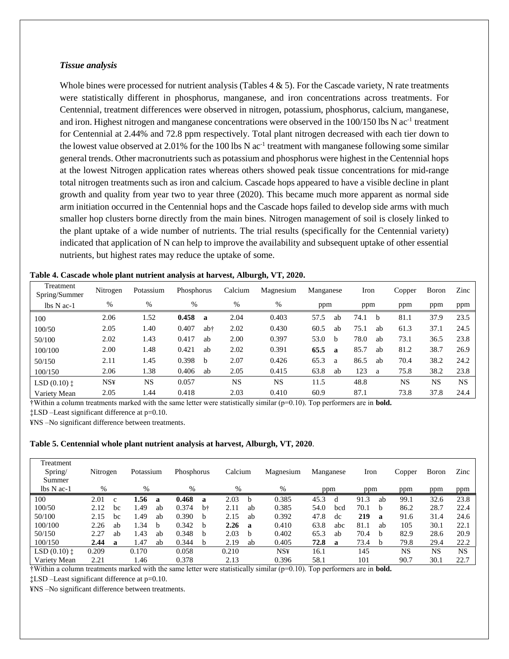#### *Tissue analysis*

Whole bines were processed for nutrient analysis (Tables  $4 \& 5$ ). For the Cascade variety, N rate treatments were statistically different in phosphorus, manganese, and iron concentrations across treatments. For Centennial, treatment differences were observed in nitrogen, potassium, phosphorus, calcium, manganese, and iron. Highest nitrogen and manganese concentrations were observed in the 100/150 lbs N ac<sup>-1</sup> treatment for Centennial at 2.44% and 72.8 ppm respectively. Total plant nitrogen decreased with each tier down to the lowest value observed at  $2.01\%$  for the 100 lbs N ac<sup>-1</sup> treatment with manganese following some similar general trends. Other macronutrients such as potassium and phosphorus were highest in the Centennial hops at the lowest Nitrogen application rates whereas others showed peak tissue concentrations for mid-range total nitrogen treatments such as iron and calcium. Cascade hops appeared to have a visible decline in plant growth and quality from year two to year three (2020). This became much more apparent as normal side arm initiation occurred in the Centennial hops and the Cascade hops failed to develop side arms with much smaller hop clusters borne directly from the main bines. Nitrogen management of soil is closely linked to the plant uptake of a wide number of nutrients. The trial results (specifically for the Centennial variety) indicated that application of N can help to improve the availability and subsequent uptake of other essential nutrients, but highest rates may reduce the uptake of some.

| Nitrogen   | Potassium |       |              | Calcium    | Magnesium |      |             |                  |    | Copper      | Boron     | Zinc      |
|------------|-----------|-------|--------------|------------|-----------|------|-------------|------------------|----|-------------|-----------|-----------|
| %          | %         | $\%$  |              | $\%$       | %         |      |             |                  |    | ppm         | ppm       | ppm       |
| 2.06       | 1.52      | 0.458 | a            | 2.04       | 0.403     | 57.5 | ab          | 74.1             | b  | 81.1        | 37.9      | 23.5      |
| 2.05       | 1.40      | 0.407 | ab†          | 2.02       | 0.430     | 60.5 | ab          | 75.1             | ab | 61.3        | 37.1      | 24.5      |
| 2.02       | 1.43      | 0.417 | ab           | 2.00       | 0.397     | 53.0 | b           | 78.0             | ab | 73.1        | 36.5      | 23.8      |
| 2.00       | 1.48      | 0.421 | ab           | 2.02       | 0.391     | 65.5 | $\mathbf a$ | 85.7             | ab | 81.2        | 38.7      | 26.9      |
| 2.11       | 1.45      | 0.398 | <sub>b</sub> | 2.07       | 0.426     | 65.3 | a           | 86.5             | ab | 70.4        | 38.2      | 24.2      |
| 2.06       | 1.38      | 0.406 | ab           | 2.05       | 0.415     | 63.8 | ab          | 123              | a  | 75.8        | 38.2      | 23.8      |
| <b>NS¥</b> | <b>NS</b> | 0.057 |              | <b>NS</b>  | <b>NS</b> | 11.5 |             | 48.8             |    | <b>NS</b>   | <b>NS</b> | <b>NS</b> |
| 2.05       | 1.44      | 0.418 |              | 2.03       | 0.410     | 60.9 |             | 87.1             |    | 73.8        | 37.8      | 24.4      |
|            |           |       |              | Phosphorus |           |      |             | Manganese<br>ppm |    | Iron<br>ppm |           |           |

**Table 4. Cascade whole plant nutrient analysis at harvest, Alburgh, VT, 2020.**

†Within a column treatments marked with the same letter were statistically similar (p=0.10). Top performers are in **bold.**

‡LSD –Least significant difference at p=0.10.

¥NS –No significant difference between treatments.

**Table 5. Centennial whole plant nutrient analysis at harvest, Alburgh, VT, 2020**.

| Treatment              |               |             |           |              |            |              |         |     |            |           |     |      |              |        |       |           |
|------------------------|---------------|-------------|-----------|--------------|------------|--------------|---------|-----|------------|-----------|-----|------|--------------|--------|-------|-----------|
| Spring/                | Nitrogen      |             | Potassium |              | Phosphorus |              | Calcium |     | Magnesium  | Manganese |     | Iron |              | Copper | Boron | Zinc      |
| Summer                 |               |             |           |              |            |              |         |     |            |           |     |      |              |        |       |           |
| $lbs$ N ac-1           | $\frac{0}{0}$ |             | $\%$      |              | $\%$       |              | $\%$    |     | $\%$       |           | ppm | ppm  |              | ppm    | ppm   | ppm       |
| 100                    | 2.01          | $\mathbf c$ | 1.56      | a            | 0.468      | a            | 2.03    | b   | 0.385      | 45.3      | d   | 91.3 | ab           | 99.1   | 32.6  | 23.8      |
| 100/50                 | 2.12          | bc          | 1.49      | ab           | 0.374      | bt           | 2.11    | ab  | 0.385      | 54.0      | bcd | 70.1 | b.           | 86.2   | 28.7  | 22.4      |
| 50/100                 | 2.15          | bc          | 1.49      | ab           | 0.390      | <sub>b</sub> | 2.15    | ab  | 0.392      | 47.8      | dc  | 219  | $\mathbf a$  | 91.6   | 31.4  | 24.6      |
| 100/100                | 2.26          | ab          | 1.34      | <sub>b</sub> | 0.342      | h            | 2.26    | - a | 0.410      | 63.8      | abc | 81.1 | ab           | 105    | 30.1  | 22.1      |
| 50/150                 | 2.27          | ab          | 1.43      | ab           | 0.348      | h            | 2.03    | b   | 0.402      | 65.3      | ab  | 70.4 | <sub>h</sub> | 82.9   | 28.6  | 20.9      |
| 100/150                | 2.44          | a           | 1.47      | ab           | 0.344      | h            | 2.19    | ab  | 0.405      | 72.8      | а   | 73.4 | <sub>b</sub> | 79.8   | 29.4  | 22.2      |
| $LSD(0.10)$ $\ddagger$ | 0.209         |             | 0.170     |              | 0.058      |              | 0.210   |     | <b>NS¥</b> | 16.1      |     | 145  |              | NS     | NS    | <b>NS</b> |
| Variety Mean           | 2.21          |             | l.46      |              | 0.378      |              | 2.13    |     | 0.396      | 58.1      |     | 101  |              | 90.7   | 30.1  | 22.7      |

†Within a column treatments marked with the same letter were statistically similar (p=0.10). Top performers are in **bold.**

‡LSD –Least significant difference at p=0.10.

¥NS –No significant difference between treatments.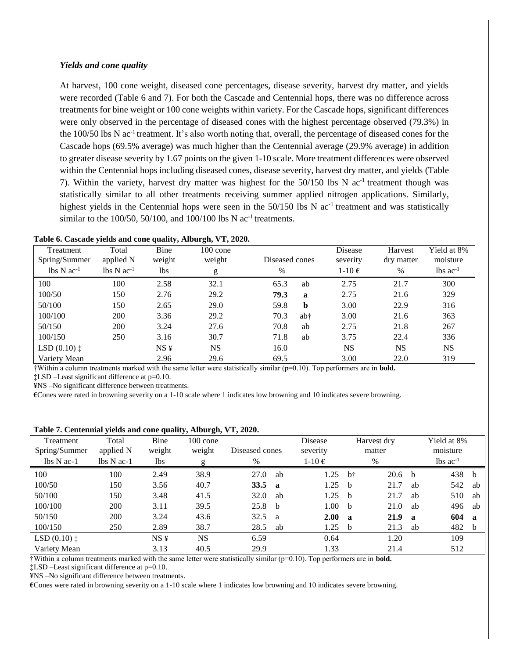#### *Yields and cone quality*

At harvest, 100 cone weight, diseased cone percentages, disease severity, harvest dry matter, and yields were recorded (Table 6 and 7). For both the Cascade and Centennial hops, there was no difference across treatments for bine weight or 100 cone weights within variety. For the Cascade hops, significant differences were only observed in the percentage of diseased cones with the highest percentage observed (79.3%) in the 100/50 lbs N ac<sup>-1</sup> treatment. It's also worth noting that, overall, the percentage of diseased cones for the Cascade hops (69.5% average) was much higher than the Centennial average (29.9% average) in addition to greater disease severity by 1.67 points on the given 1-10 scale. More treatment differences were observed within the Centennial hops including diseased cones, disease severity, harvest dry matter, and yields (Table 7). Within the variety, harvest dry matter was highest for the 50/150 lbs N ac<sup>-1</sup> treatment though was statistically similar to all other treatments receiving summer applied nitrogen applications. Similarly, highest yields in the Centennial hops were seen in the  $50/150$  lbs N ac<sup>-1</sup> treatment and was statistically similar to the  $100/50$ ,  $50/100$ , and  $100/100$  lbs N ac<sup>-1</sup> treatments.

| Treatment                                  | Total           | Bine            | $100 \text{ cone}$ |                |             | Disease         | Harvest    | Yield at 8%            |
|--------------------------------------------|-----------------|-----------------|--------------------|----------------|-------------|-----------------|------------|------------------------|
| Spring/Summer                              | applied N       | weight          | weight             | Diseased cones |             | severity        | dry matter | moisture               |
| $\text{lbs} \, \text{N} \, \text{ac}^{-1}$ | $lbs\ Nac^{-1}$ | lbs             |                    | %              |             | 1-10 $\epsilon$ | %          | $lbs$ ac <sup>-1</sup> |
| 100                                        | 100             | 2.58            | 32.1               | 65.3           | ab          | 2.75            | 21.7       | 300                    |
| 100/50                                     | 150             | 2.76            | 29.2               | 79.3           | a           | 2.75            | 21.6       | 329                    |
| 50/100                                     | 150             | 2.65            | 29.0               | 59.8           | $\mathbf b$ | 3.00            | 22.9       | 316                    |
| 100/100                                    | 200             | 3.36            | 29.2               | 70.3           | ab†         | 3.00            | 21.6       | 363                    |
| 50/150                                     | 200             | 3.24            | 27.6               | 70.8           | ab          | 2.75            | 21.8       | 267                    |
| 100/150                                    | 250             | 3.16            | 30.7               | 71.8           | ab          | 3.75            | 22.4       | 336                    |
| LSD $(0.10)$ $\ddagger$                    |                 | NS <sub>Y</sub> | <b>NS</b>          | 16.0           |             | <b>NS</b>       | <b>NS</b>  | <b>NS</b>              |
| Variety Mean                               |                 | 2.96            | 29.6               | 69.5           |             | 3.00            | 22.0       | 319                    |

| Table 6. Cascade yields and cone quality, Alburgh, VT, 2020. |  |  |
|--------------------------------------------------------------|--|--|
|                                                              |  |  |

†Within a column treatments marked with the same letter were statistically similar (p=0.10). Top performers are in **bold.**

‡LSD –Least significant difference at p=0.10.

¥NS –No significant difference between treatments.

**€**Cones were rated in browning severity on a 1-10 scale where 1 indicates low browning and 10 indicates severe browning.

#### **Table 7. Centennial yields and cone quality, Alburgh, VT, 2020.**

| Treatment<br>Spring/Summer | Total<br>applied N                | Bine<br>weight | $100 \text{ cone}$<br>weight | Diseased cones |              | Disease<br>severity |              | Harvest dry<br>matter |             | Yield at 8%<br>moisture |     |
|----------------------------|-----------------------------------|----------------|------------------------------|----------------|--------------|---------------------|--------------|-----------------------|-------------|-------------------------|-----|
| $\Delta$ lbs N ac-1        | $\text{lbs} \text{N} \text{ac-1}$ | lbs            | g                            | $\%$           |              | 1-10 $\epsilon$     |              | $\%$                  |             | $lbs$ ac <sup>-1</sup>  |     |
| 100                        | 100                               | 2.49           | 38.9                         | 27.0           | ab           | 1.25                | bt           | 20.6 <sub>b</sub>     |             | 438                     | - b |
| 100/50                     | 150                               | 3.56           | 40.7                         | <b>33.5</b>    | ่ ล          | 1.25                | b            | 21.7                  | ab          | 542                     | ab  |
| 50/100                     | 150                               | 3.48           | 41.5                         | 32.0           | ab           | 1.25                | h-           | 21.7                  | ab          | 510                     | ab  |
| 100/100                    | 200                               | 3.11           | 39.5                         | 25.8           | h-           | 1.00                | <sub>b</sub> | 21.0                  | ab          | 496                     | ab  |
| 50/150                     | 200                               | 3.24           | 43.6                         | 32.5           | <sub>a</sub> | 2.00                | $\mathbf a$  | 21.9                  | $\mathbf a$ | 604                     | - a |
| 100/150                    | 250                               | 2.89           | 38.7                         | 28.5           | ab           | 1.25                | <sub>b</sub> | 21.3                  | ab          | 482 b                   |     |
| $LSD(0.10)$ $\ddagger$     |                                   | NS¥            | <b>NS</b>                    | 6.59           |              | 0.64                |              | 1.20                  |             | 109                     |     |
| Variety Mean               |                                   | 3.13           | 40.5                         | 29.9           |              | 1.33                |              | 21.4                  |             | 512                     |     |

†Within a column treatments marked with the same letter were statistically similar (p=0.10). Top performers are in **bold.**

‡LSD –Least significant difference at p=0.10.

¥NS –No significant difference between treatments.

**€**Cones were rated in browning severity on a 1-10 scale where 1 indicates low browning and 10 indicates severe browning.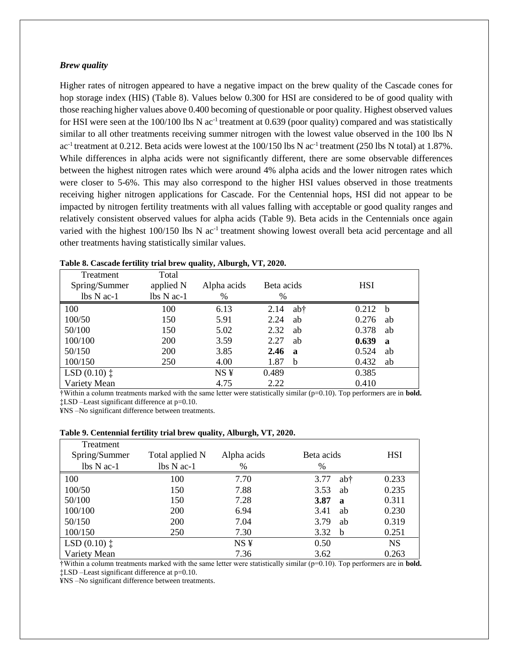#### *Brew quality*

Higher rates of nitrogen appeared to have a negative impact on the brew quality of the Cascade cones for hop storage index (HIS) (Table 8). Values below 0.300 for HSI are considered to be of good quality with those reaching higher values above 0.400 becoming of questionable or poor quality. Highest observed values for HSI were seen at the 100/100 lbs N ac<sup>-1</sup> treatment at 0.639 (poor quality) compared and was statistically similar to all other treatments receiving summer nitrogen with the lowest value observed in the 100 lbs N ac<sup>-1</sup> treatment at 0.212. Beta acids were lowest at the 100/150 lbs N ac<sup>-1</sup> treatment (250 lbs N total) at 1.87%. While differences in alpha acids were not significantly different, there are some observable differences between the highest nitrogen rates which were around 4% alpha acids and the lower nitrogen rates which were closer to 5-6%. This may also correspond to the higher HSI values observed in those treatments receiving higher nitrogen applications for Cascade. For the Centennial hops, HSI did not appear to be impacted by nitrogen fertility treatments with all values falling with acceptable or good quality ranges and relatively consistent observed values for alpha acids (Table 9). Beta acids in the Centennials once again varied with the highest 100/150 lbs N ac<sup>-1</sup> treatment showing lowest overall beta acid percentage and all other treatments having statistically similar values.

| Treatment               | Total           | $\cdot$<br>$\bullet$ |                     |                            |
|-------------------------|-----------------|----------------------|---------------------|----------------------------|
| Spring/Summer           | applied N       | Alpha acids          | Beta acids          | <b>HSI</b>                 |
| $\Delta$ N ac-1         | $\Delta$ N ac-1 | $\%$                 | %                   |                            |
| 100                     | 100             | 6.13                 | 2.14                | 0.212<br>ab†<br>- b        |
| 100/50                  | 150             | 5.91                 | 2.24                | 0.276<br>ab<br>ab          |
| 50/100                  | 150             | 5.02                 | 2.32                | 0.378<br>ab<br>ab          |
| 100/100                 | <b>200</b>      | 3.59                 | 2.27                | 0.639<br>ab<br>$\mathbf a$ |
| 50/150                  | <b>200</b>      | 3.85                 | 2.46<br>$\mathbf a$ | 0.524<br>ab                |
| 100/150                 | 250             | 4.00                 | 1.87<br>b           | 0.432<br>ab                |
| LSD $(0.10)$ $\ddagger$ |                 | NS <sub>Y</sub>      | 0.489               | 0.385                      |
| Variety Mean            |                 | 4.75                 | 2.22                | 0.410                      |

| Table 8. Cascade fertility trial brew quality, Alburgh, VT, 2020. |  |  |  |  |  |  |  |  |  |
|-------------------------------------------------------------------|--|--|--|--|--|--|--|--|--|
|-------------------------------------------------------------------|--|--|--|--|--|--|--|--|--|

†Within a column treatments marked with the same letter were statistically similar (p=0.10). Top performers are in **bold.** ‡LSD –Least significant difference at p=0.10.

¥NS –No significant difference between treatments.

#### **Table 9. Centennial fertility trial brew quality, Alburgh, VT, 2020.**

| Treatment               |                 |                 |                     |            |
|-------------------------|-----------------|-----------------|---------------------|------------|
| Spring/Summer           | Total applied N | Alpha acids     | Beta acids          | <b>HSI</b> |
| $lbs \ N ac-1$          | $\Delta$ N ac-1 | $\%$            | $\%$                |            |
| 100                     | 100             | 7.70            | ab†<br>3.77         | 0.233      |
| 100/50                  | 150             | 7.88            | 3.53<br>ab          | 0.235      |
| 50/100                  | 150             | 7.28            | 3.87<br>$\mathbf a$ | 0.311      |
| 100/100                 | <b>200</b>      | 6.94            | 3.41<br>ab          | 0.230      |
| 50/150                  | <b>200</b>      | 7.04            | 3.79<br>ab          | 0.319      |
| 100/150                 | 250             | 7.30            | 3.32<br>b           | 0.251      |
| LSD $(0.10)$ $\ddagger$ |                 | NS <sub>Y</sub> | 0.50                | <b>NS</b>  |
| Variety Mean            |                 | 7.36            | 3.62                | 0.263      |

†Within a column treatments marked with the same letter were statistically similar (p=0.10). Top performers are in **bold.** ‡LSD –Least significant difference at p=0.10.

¥NS –No significant difference between treatments.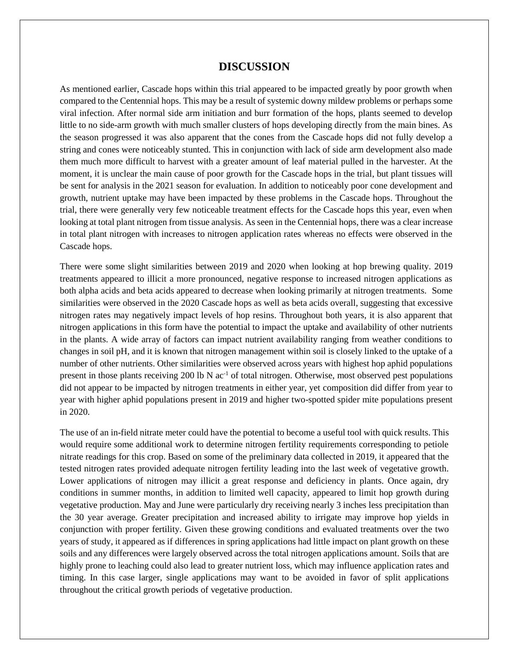## **DISCUSSION**

As mentioned earlier, Cascade hops within this trial appeared to be impacted greatly by poor growth when compared to the Centennial hops. This may be a result of systemic downy mildew problems or perhaps some viral infection. After normal side arm initiation and burr formation of the hops, plants seemed to develop little to no side-arm growth with much smaller clusters of hops developing directly from the main bines. As the season progressed it was also apparent that the cones from the Cascade hops did not fully develop a string and cones were noticeably stunted. This in conjunction with lack of side arm development also made them much more difficult to harvest with a greater amount of leaf material pulled in the harvester. At the moment, it is unclear the main cause of poor growth for the Cascade hops in the trial, but plant tissues will be sent for analysis in the 2021 season for evaluation. In addition to noticeably poor cone development and growth, nutrient uptake may have been impacted by these problems in the Cascade hops. Throughout the trial, there were generally very few noticeable treatment effects for the Cascade hops this year, even when looking at total plant nitrogen from tissue analysis. As seen in the Centennial hops, there was a clear increase in total plant nitrogen with increases to nitrogen application rates whereas no effects were observed in the Cascade hops.

There were some slight similarities between 2019 and 2020 when looking at hop brewing quality. 2019 treatments appeared to illicit a more pronounced, negative response to increased nitrogen applications as both alpha acids and beta acids appeared to decrease when looking primarily at nitrogen treatments. Some similarities were observed in the 2020 Cascade hops as well as beta acids overall, suggesting that excessive nitrogen rates may negatively impact levels of hop resins. Throughout both years, it is also apparent that nitrogen applications in this form have the potential to impact the uptake and availability of other nutrients in the plants. A wide array of factors can impact nutrient availability ranging from weather conditions to changes in soil pH, and it is known that nitrogen management within soil is closely linked to the uptake of a number of other nutrients. Other similarities were observed across years with highest hop aphid populations present in those plants receiving 200 lb N ac<sup>-1</sup> of total nitrogen. Otherwise, most observed pest populations did not appear to be impacted by nitrogen treatments in either year, yet composition did differ from year to year with higher aphid populations present in 2019 and higher two-spotted spider mite populations present in 2020.

The use of an in-field nitrate meter could have the potential to become a useful tool with quick results. This would require some additional work to determine nitrogen fertility requirements corresponding to petiole nitrate readings for this crop. Based on some of the preliminary data collected in 2019, it appeared that the tested nitrogen rates provided adequate nitrogen fertility leading into the last week of vegetative growth. Lower applications of nitrogen may illicit a great response and deficiency in plants. Once again, dry conditions in summer months, in addition to limited well capacity, appeared to limit hop growth during vegetative production. May and June were particularly dry receiving nearly 3 inches less precipitation than the 30 year average. Greater precipitation and increased ability to irrigate may improve hop yields in conjunction with proper fertility. Given these growing conditions and evaluated treatments over the two years of study, it appeared as if differences in spring applications had little impact on plant growth on these soils and any differences were largely observed across the total nitrogen applications amount. Soils that are highly prone to leaching could also lead to greater nutrient loss, which may influence application rates and timing. In this case larger, single applications may want to be avoided in favor of split applications throughout the critical growth periods of vegetative production.